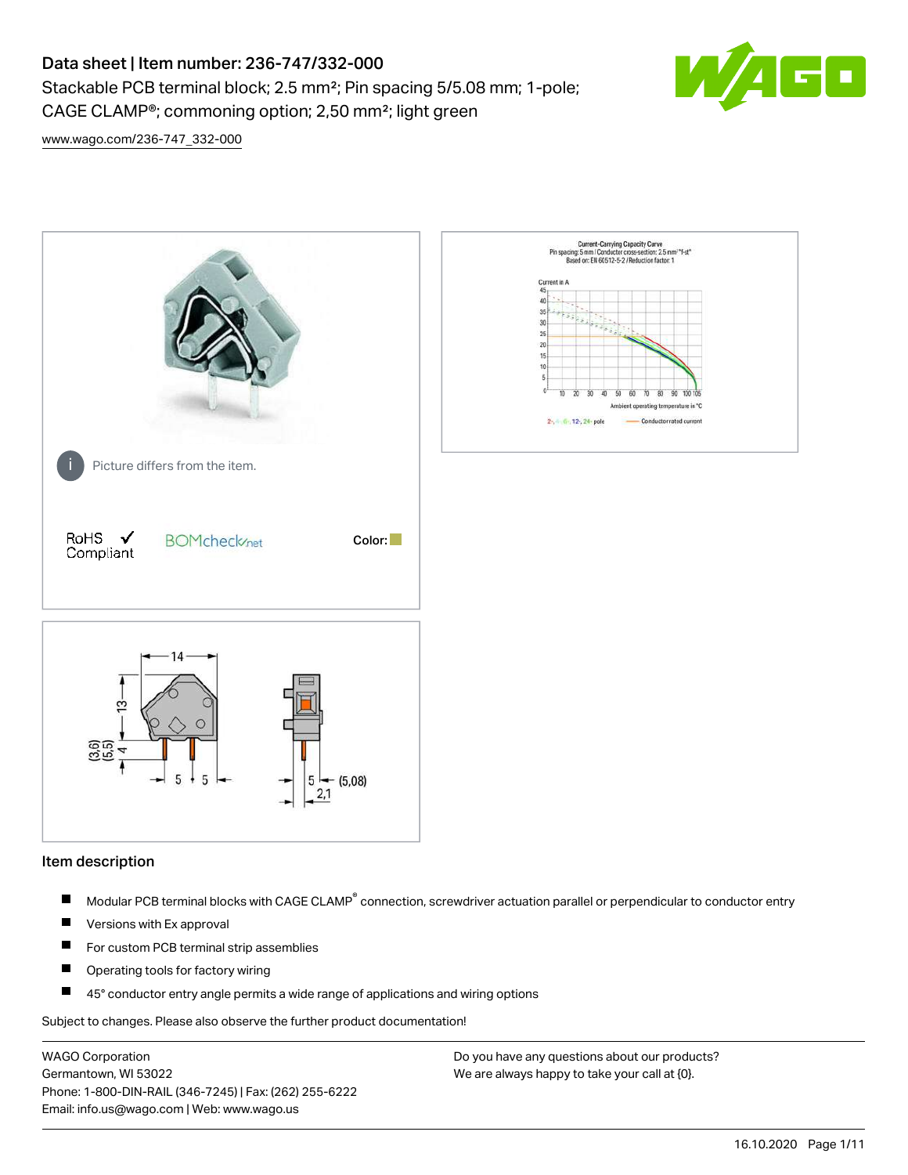## Data sheet | Item number: 236-747/332-000

Stackable PCB terminal block; 2.5 mm²; Pin spacing 5/5.08 mm; 1-pole; CAGE CLAMP®; commoning option; 2,50 mm²; light green



[www.wago.com/236-747\\_332-000](http://www.wago.com/236-747_332-000)



### Item description

- Modular PCB terminal blocks with CAGE CLAMP<sup>®</sup> connection, screwdriver actuation parallel or perpendicular to conductor entry П
- $\blacksquare$ Versions with Ex approval
- П For custom PCB terminal strip assemblies
- $\blacksquare$ Operating tools for factory wiring
- $\blacksquare$ 45° conductor entry angle permits a wide range of applications and wiring options

Subject to changes. Please also observe the further product documentation!

WAGO Corporation Germantown, WI 53022 Phone: 1-800-DIN-RAIL (346-7245) | Fax: (262) 255-6222 Email: info.us@wago.com | Web: www.wago.us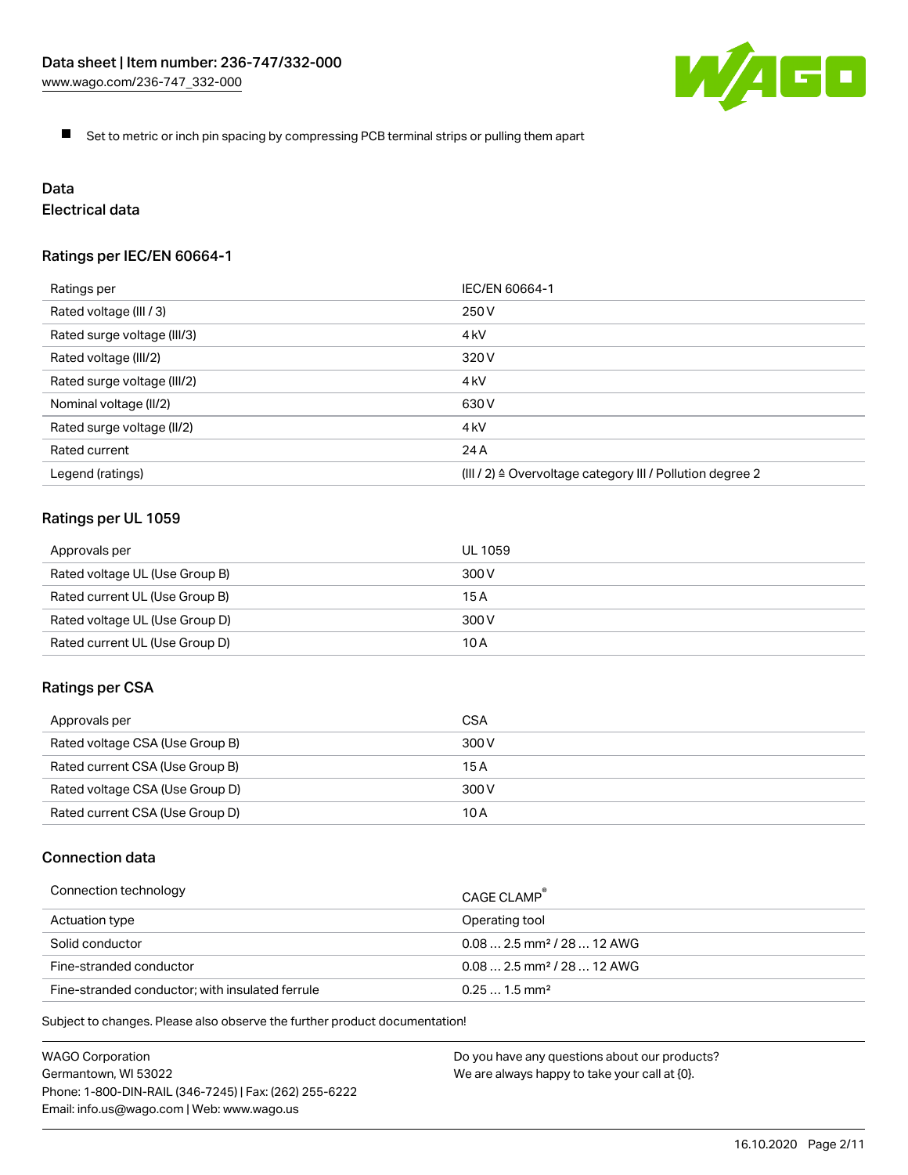

 $\blacksquare$ Set to metric or inch pin spacing by compressing PCB terminal strips or pulling them apart

# Data

### Electrical data

### Ratings per IEC/EN 60664-1

| Ratings per                 | IEC/EN 60664-1                                                        |
|-----------------------------|-----------------------------------------------------------------------|
| Rated voltage (III / 3)     | 250 V                                                                 |
| Rated surge voltage (III/3) | 4 <sub>kV</sub>                                                       |
| Rated voltage (III/2)       | 320 V                                                                 |
| Rated surge voltage (III/2) | 4 <sub>k</sub> V                                                      |
| Nominal voltage (II/2)      | 630 V                                                                 |
| Rated surge voltage (II/2)  | 4 <sub>kV</sub>                                                       |
| Rated current               | 24 A                                                                  |
| Legend (ratings)            | $(III / 2)$ $\triangle$ Overvoltage category III / Pollution degree 2 |

### Ratings per UL 1059

| Approvals per                  | UL 1059 |
|--------------------------------|---------|
| Rated voltage UL (Use Group B) | 300 V   |
| Rated current UL (Use Group B) | 15 A    |
| Rated voltage UL (Use Group D) | 300 V   |
| Rated current UL (Use Group D) | 10 A    |

### Ratings per CSA

| Approvals per                   | CSA   |
|---------------------------------|-------|
| Rated voltage CSA (Use Group B) | 300 V |
| Rated current CSA (Use Group B) | 15 A  |
| Rated voltage CSA (Use Group D) | 300 V |
| Rated current CSA (Use Group D) | 10 A  |

### Connection data

| Connection technology                           | CAGE CLAMP                              |
|-------------------------------------------------|-----------------------------------------|
| Actuation type                                  | Operating tool                          |
| Solid conductor                                 | $0.08$ 2.5 mm <sup>2</sup> / 28  12 AWG |
| Fine-stranded conductor                         | $0.082.5$ mm <sup>2</sup> / 28  12 AWG  |
| Fine-stranded conductor; with insulated ferrule | $0.251.5$ mm <sup>2</sup>               |

Subject to changes. Please also observe the further product documentation!

| WAGO Corporation                                       |
|--------------------------------------------------------|
| Germantown, WI 53022                                   |
| Phone: 1-800-DIN-RAIL (346-7245)   Fax: (262) 255-6222 |
| Email: info.us@wago.com   Web: www.wago.us             |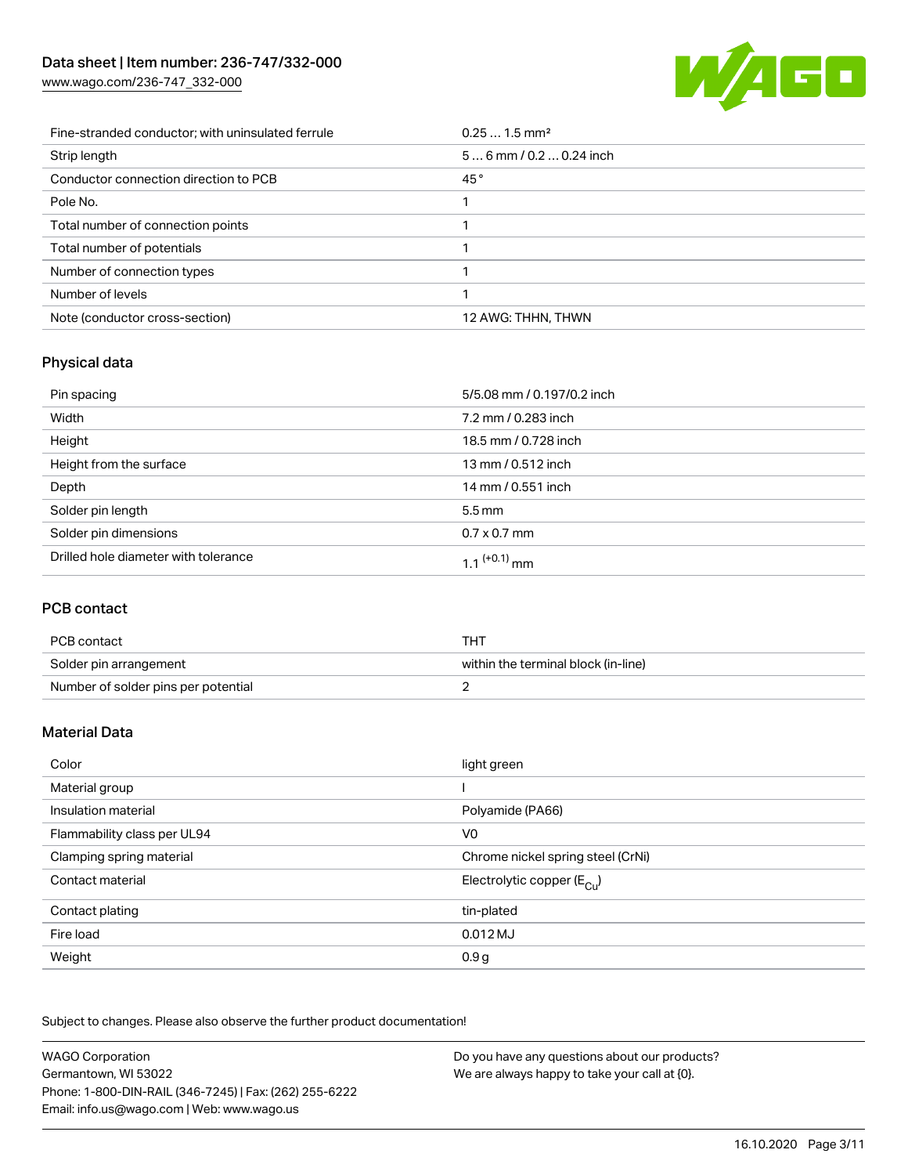[www.wago.com/236-747\\_332-000](http://www.wago.com/236-747_332-000)



| Fine-stranded conductor; with uninsulated ferrule | $0.251.5$ mm <sup>2</sup> |
|---------------------------------------------------|---------------------------|
| Strip length                                      | $56$ mm $/ 0.20.24$ inch  |
| Conductor connection direction to PCB             | 45°                       |
| Pole No.                                          |                           |
| Total number of connection points                 |                           |
| Total number of potentials                        |                           |
| Number of connection types                        |                           |
| Number of levels                                  |                           |
| Note (conductor cross-section)                    | 12 AWG: THHN, THWN        |

### Physical data

| Pin spacing                          | 5/5.08 mm / 0.197/0.2 inch |
|--------------------------------------|----------------------------|
| Width                                | 7.2 mm / 0.283 inch        |
| Height                               | 18.5 mm / 0.728 inch       |
| Height from the surface              | 13 mm / 0.512 inch         |
| Depth                                | 14 mm / 0.551 inch         |
| Solder pin length                    | $5.5 \,\mathrm{mm}$        |
| Solder pin dimensions                | $0.7 \times 0.7$ mm        |
| Drilled hole diameter with tolerance | 1.1 <sup>(+0.1)</sup> mm   |

### PCB contact

| PCB contact                         | THT                                 |
|-------------------------------------|-------------------------------------|
| Solder pin arrangement              | within the terminal block (in-line) |
| Number of solder pins per potential |                                     |

### Material Data

| Color                       | light green                             |
|-----------------------------|-----------------------------------------|
| Material group              |                                         |
| Insulation material         | Polyamide (PA66)                        |
| Flammability class per UL94 | V <sub>0</sub>                          |
| Clamping spring material    | Chrome nickel spring steel (CrNi)       |
| Contact material            | Electrolytic copper ( $E_{\text{Cu}}$ ) |
| Contact plating             | tin-plated                              |
| Fire load                   | $0.012$ MJ                              |
| Weight                      | 0.9 <sub>g</sub>                        |

Subject to changes. Please also observe the further product documentation!

| <b>WAGO Corporation</b>                                | Do you have any questions about our products? |
|--------------------------------------------------------|-----------------------------------------------|
| Germantown, WI 53022                                   | We are always happy to take your call at {0}. |
| Phone: 1-800-DIN-RAIL (346-7245)   Fax: (262) 255-6222 |                                               |
| Email: info.us@wago.com   Web: www.wago.us             |                                               |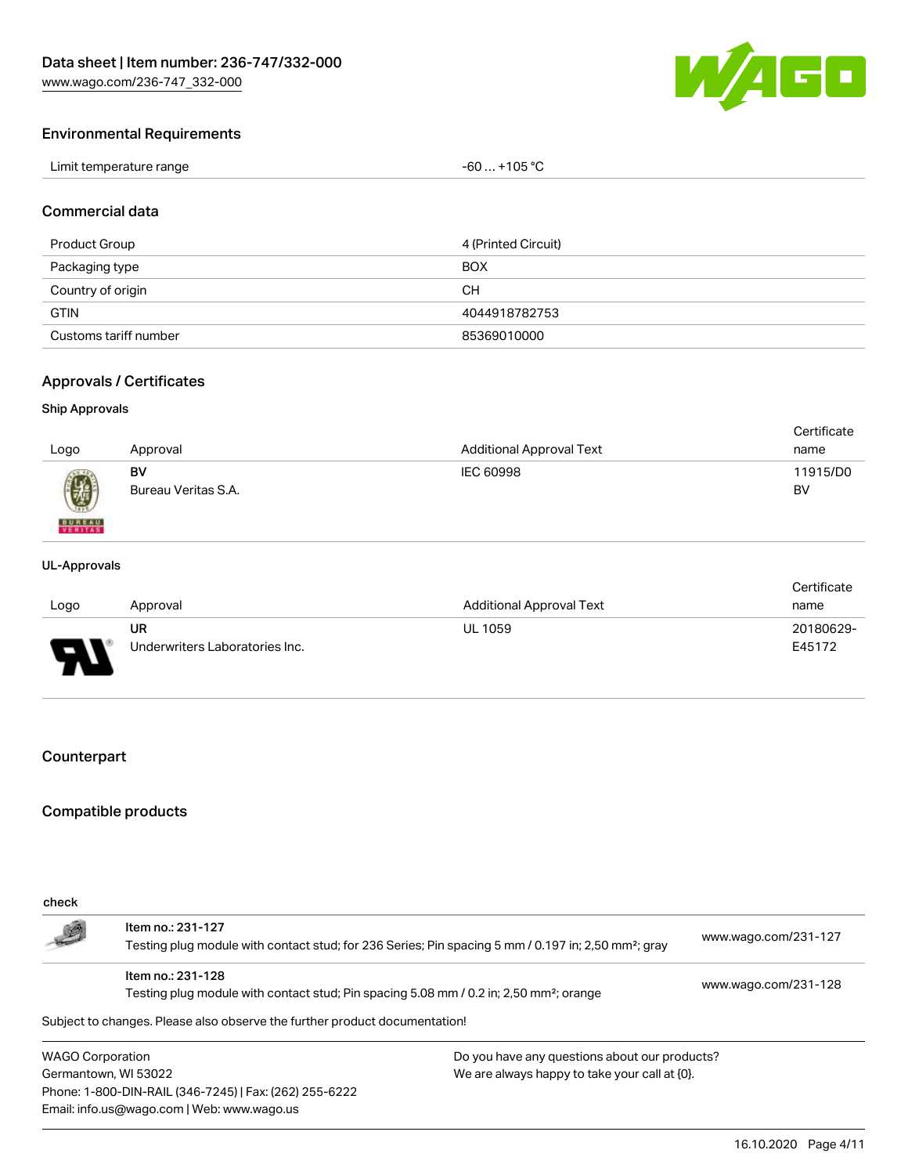WAGO

### Environmental Requirements

| Limit temperature range | $. +105 °C$<br>-60 |
|-------------------------|--------------------|
|-------------------------|--------------------|

#### Commercial data

| Product Group         | 4 (Printed Circuit) |
|-----------------------|---------------------|
| Packaging type        | <b>BOX</b>          |
| Country of origin     | CН                  |
| <b>GTIN</b>           | 4044918782753       |
| Customs tariff number | 85369010000         |

### Approvals / Certificates

### Ship Approvals

| Logo                      | Approval            | <b>Additional Approval Text</b> | Certificate<br>name |
|---------------------------|---------------------|---------------------------------|---------------------|
| 0                         | BV                  | IEC 60998                       | 11915/D0            |
| <b>BUREAU</b><br>VERITASS | Bureau Veritas S.A. |                                 | BV                  |

#### UL-Approvals

|                          |                                             |                                 | Certificate         |
|--------------------------|---------------------------------------------|---------------------------------|---------------------|
| Logo                     | Approval                                    | <b>Additional Approval Text</b> | name                |
| $\overline{\phantom{0}}$ | <b>UR</b><br>Underwriters Laboratories Inc. | <b>UL 1059</b>                  | 20180629-<br>E45172 |

### Counterpart

### Compatible products

| check                   |                                                                                                                 |                                               |                      |
|-------------------------|-----------------------------------------------------------------------------------------------------------------|-----------------------------------------------|----------------------|
|                         | Item no.: 231-127                                                                                               |                                               |                      |
| 5                       | Testing plug module with contact stud; for 236 Series; Pin spacing 5 mm / 0.197 in; 2,50 mm <sup>2</sup> ; gray |                                               | www.wago.com/231-127 |
|                         | Item no.: 231-128                                                                                               |                                               | www.wago.com/231-128 |
|                         | Testing plug module with contact stud; Pin spacing 5.08 mm / 0.2 in; 2,50 mm <sup>2</sup> ; orange              |                                               |                      |
|                         | Subject to changes. Please also observe the further product documentation!                                      |                                               |                      |
| <b>WAGO Corporation</b> |                                                                                                                 | Do you have any questions about our products? |                      |
| Germantown, WI 53022    |                                                                                                                 | We are always happy to take your call at {0}. |                      |
|                         | Phone: 1-800-DIN-RAIL (346-7245)   Fax: (262) 255-6222                                                          |                                               |                      |
|                         | Email: info.us@wago.com   Web: www.wago.us                                                                      |                                               |                      |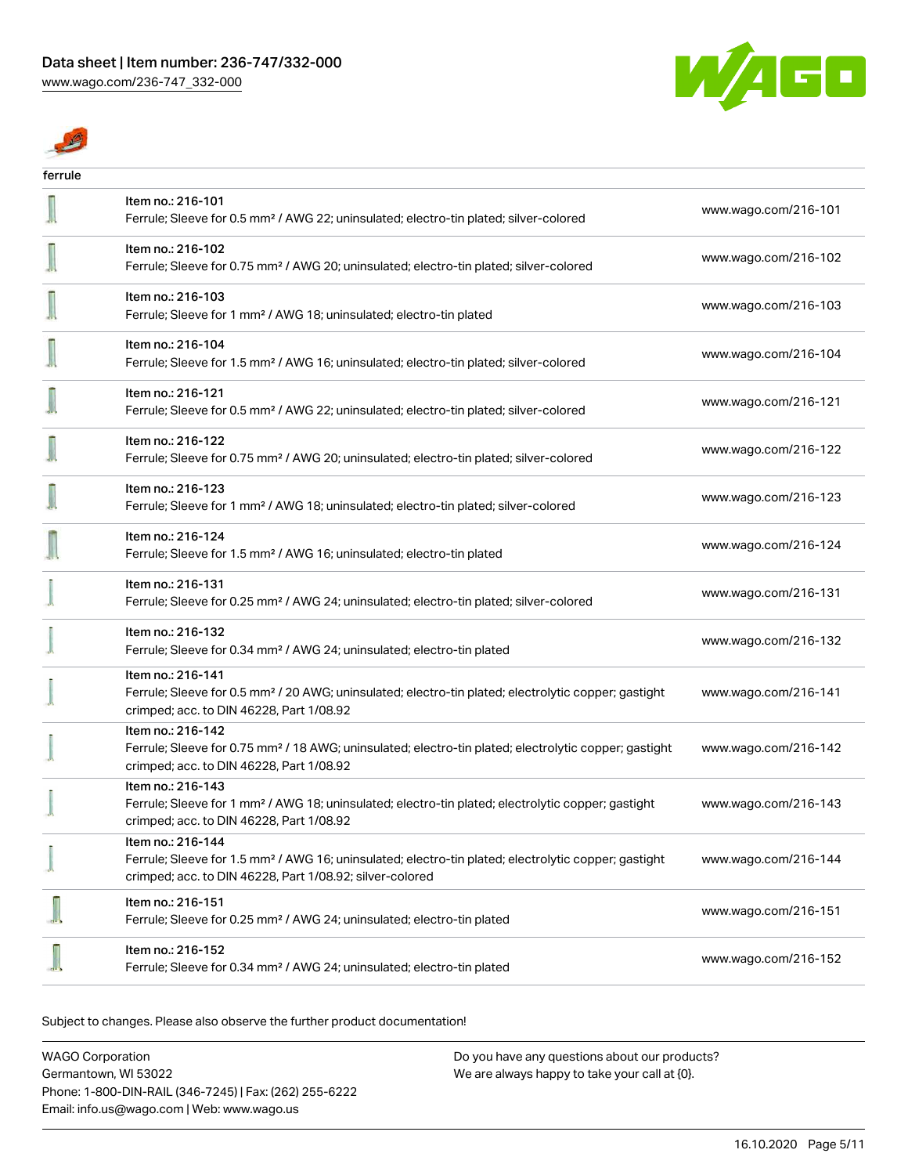$\mathbb{Z}$ 



| ferrule |                                                                                                                                                                                                   |                      |
|---------|---------------------------------------------------------------------------------------------------------------------------------------------------------------------------------------------------|----------------------|
|         | Item no.: 216-101<br>Ferrule; Sleeve for 0.5 mm <sup>2</sup> / AWG 22; uninsulated; electro-tin plated; silver-colored                                                                            | www.wago.com/216-101 |
|         | Item no.: 216-102<br>Ferrule; Sleeve for 0.75 mm <sup>2</sup> / AWG 20; uninsulated; electro-tin plated; silver-colored                                                                           | www.wago.com/216-102 |
|         | Item no.: 216-103<br>Ferrule; Sleeve for 1 mm <sup>2</sup> / AWG 18; uninsulated; electro-tin plated                                                                                              | www.wago.com/216-103 |
|         | Item no.: 216-104<br>Ferrule; Sleeve for 1.5 mm <sup>2</sup> / AWG 16; uninsulated; electro-tin plated; silver-colored                                                                            | www.wago.com/216-104 |
|         | Item no.: 216-121<br>Ferrule; Sleeve for 0.5 mm <sup>2</sup> / AWG 22; uninsulated; electro-tin plated; silver-colored                                                                            | www.wago.com/216-121 |
|         | Item no.: 216-122<br>Ferrule; Sleeve for 0.75 mm <sup>2</sup> / AWG 20; uninsulated; electro-tin plated; silver-colored                                                                           | www.wago.com/216-122 |
|         | Item no.: 216-123<br>Ferrule; Sleeve for 1 mm <sup>2</sup> / AWG 18; uninsulated; electro-tin plated; silver-colored                                                                              | www.wago.com/216-123 |
|         | Item no.: 216-124<br>Ferrule; Sleeve for 1.5 mm <sup>2</sup> / AWG 16; uninsulated; electro-tin plated                                                                                            | www.wago.com/216-124 |
|         | Item no.: 216-131<br>Ferrule; Sleeve for 0.25 mm <sup>2</sup> / AWG 24; uninsulated; electro-tin plated; silver-colored                                                                           | www.wago.com/216-131 |
|         | Item no.: 216-132<br>Ferrule; Sleeve for 0.34 mm <sup>2</sup> / AWG 24; uninsulated; electro-tin plated                                                                                           | www.wago.com/216-132 |
|         | Item no.: 216-141<br>Ferrule; Sleeve for 0.5 mm <sup>2</sup> / 20 AWG; uninsulated; electro-tin plated; electrolytic copper; gastight<br>crimped; acc. to DIN 46228, Part 1/08.92                 | www.wago.com/216-141 |
|         | Item no.: 216-142<br>Ferrule; Sleeve for 0.75 mm <sup>2</sup> / 18 AWG; uninsulated; electro-tin plated; electrolytic copper; gastight<br>crimped; acc. to DIN 46228, Part 1/08.92                | www.wago.com/216-142 |
|         | Item no.: 216-143<br>Ferrule; Sleeve for 1 mm <sup>2</sup> / AWG 18; uninsulated; electro-tin plated; electrolytic copper; gastight<br>crimped; acc. to DIN 46228, Part 1/08.92                   | www.wago.com/216-143 |
|         | Item no.: 216-144<br>Ferrule; Sleeve for 1.5 mm <sup>2</sup> / AWG 16; uninsulated; electro-tin plated; electrolytic copper; gastight<br>crimped; acc. to DIN 46228, Part 1/08.92; silver-colored | www.wago.com/216-144 |
|         | Item no.: 216-151<br>Ferrule; Sleeve for 0.25 mm <sup>2</sup> / AWG 24; uninsulated; electro-tin plated                                                                                           | www.wago.com/216-151 |
|         | Item no.: 216-152<br>Ferrule; Sleeve for 0.34 mm <sup>2</sup> / AWG 24; uninsulated; electro-tin plated                                                                                           | www.wago.com/216-152 |

Subject to changes. Please also observe the further product documentation!

| WAGO Corporation                                       | Do you have any questions about our products? |
|--------------------------------------------------------|-----------------------------------------------|
| Germantown, WI 53022                                   | We are always happy to take your call at {0}. |
| Phone: 1-800-DIN-RAIL (346-7245)   Fax: (262) 255-6222 |                                               |
| Email: info.us@wago.com   Web: www.wago.us             |                                               |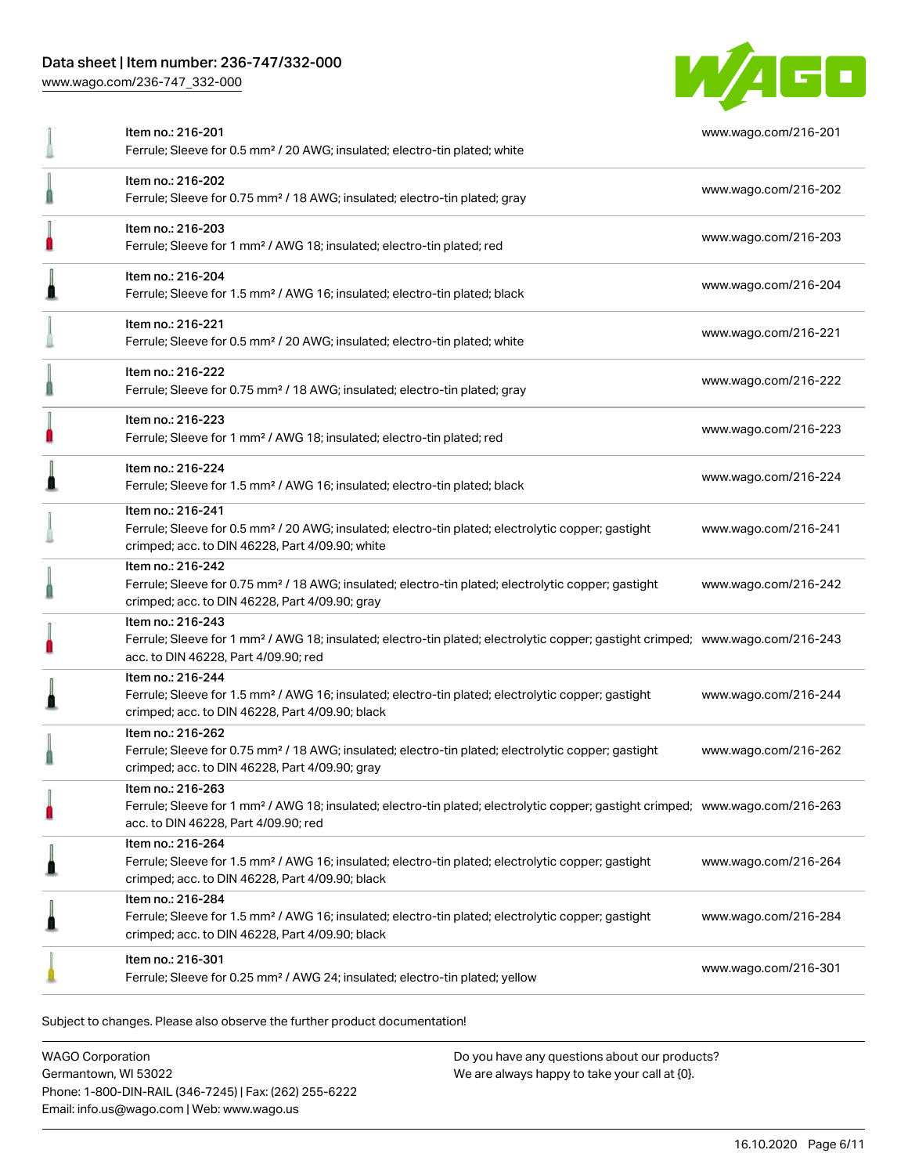### Data sheet | Item number: 236-747/332-000

[www.wago.com/236-747\\_332-000](http://www.wago.com/236-747_332-000)



| Item no.: 216-201<br>Ferrule; Sleeve for 0.5 mm <sup>2</sup> / 20 AWG; insulated; electro-tin plated; white                                                                                             | www.wago.com/216-201 |
|---------------------------------------------------------------------------------------------------------------------------------------------------------------------------------------------------------|----------------------|
| Item no.: 216-202<br>Ferrule; Sleeve for 0.75 mm <sup>2</sup> / 18 AWG; insulated; electro-tin plated; gray                                                                                             | www.wago.com/216-202 |
| Item no.: 216-203<br>Ferrule; Sleeve for 1 mm <sup>2</sup> / AWG 18; insulated; electro-tin plated; red                                                                                                 | www.wago.com/216-203 |
| Item no.: 216-204<br>Ferrule; Sleeve for 1.5 mm <sup>2</sup> / AWG 16; insulated; electro-tin plated; black                                                                                             | www.wago.com/216-204 |
| Item no.: 216-221<br>Ferrule; Sleeve for 0.5 mm <sup>2</sup> / 20 AWG; insulated; electro-tin plated; white                                                                                             | www.wago.com/216-221 |
| Item no.: 216-222<br>Ferrule; Sleeve for 0.75 mm <sup>2</sup> / 18 AWG; insulated; electro-tin plated; gray                                                                                             | www.wago.com/216-222 |
| Item no.: 216-223<br>Ferrule; Sleeve for 1 mm <sup>2</sup> / AWG 18; insulated; electro-tin plated; red                                                                                                 | www.wago.com/216-223 |
| Item no.: 216-224<br>Ferrule; Sleeve for 1.5 mm <sup>2</sup> / AWG 16; insulated; electro-tin plated; black                                                                                             | www.wago.com/216-224 |
| Item no.: 216-241<br>Ferrule; Sleeve for 0.5 mm <sup>2</sup> / 20 AWG; insulated; electro-tin plated; electrolytic copper; gastight<br>crimped; acc. to DIN 46228, Part 4/09.90; white                  | www.wago.com/216-241 |
| Item no.: 216-242<br>Ferrule; Sleeve for 0.75 mm <sup>2</sup> / 18 AWG; insulated; electro-tin plated; electrolytic copper; gastight<br>crimped; acc. to DIN 46228, Part 4/09.90; gray                  | www.wago.com/216-242 |
| Item no.: 216-243<br>Ferrule; Sleeve for 1 mm <sup>2</sup> / AWG 18; insulated; electro-tin plated; electrolytic copper; gastight crimped; www.wago.com/216-243<br>acc. to DIN 46228, Part 4/09.90; red |                      |
| Item no.: 216-244<br>Ferrule; Sleeve for 1.5 mm <sup>2</sup> / AWG 16; insulated; electro-tin plated; electrolytic copper; gastight<br>crimped; acc. to DIN 46228, Part 4/09.90; black                  | www.wago.com/216-244 |
| Item no.: 216-262<br>Ferrule; Sleeve for 0.75 mm <sup>2</sup> / 18 AWG; insulated; electro-tin plated; electrolytic copper; gastight<br>crimped; acc. to DIN 46228, Part 4/09.90; gray                  | www.wago.com/216-262 |
| Item no.: 216-263<br>Ferrule; Sleeve for 1 mm <sup>2</sup> / AWG 18; insulated; electro-tin plated; electrolytic copper; gastight crimped; www.wago.com/216-263<br>acc. to DIN 46228, Part 4/09.90; red |                      |
| Item no.: 216-264<br>Ferrule; Sleeve for 1.5 mm <sup>2</sup> / AWG 16; insulated; electro-tin plated; electrolytic copper; gastight<br>crimped; acc. to DIN 46228, Part 4/09.90; black                  | www.wago.com/216-264 |
| Item no.: 216-284<br>Ferrule; Sleeve for 1.5 mm <sup>2</sup> / AWG 16; insulated; electro-tin plated; electrolytic copper; gastight<br>crimped; acc. to DIN 46228, Part 4/09.90; black                  | www.wago.com/216-284 |
| Item no.: 216-301<br>Ferrule; Sleeve for 0.25 mm <sup>2</sup> / AWG 24; insulated; electro-tin plated; yellow                                                                                           | www.wago.com/216-301 |
|                                                                                                                                                                                                         |                      |

Subject to changes. Please also observe the further product documentation!

WAGO Corporation Germantown, WI 53022 Phone: 1-800-DIN-RAIL (346-7245) | Fax: (262) 255-6222 Email: info.us@wago.com | Web: www.wago.us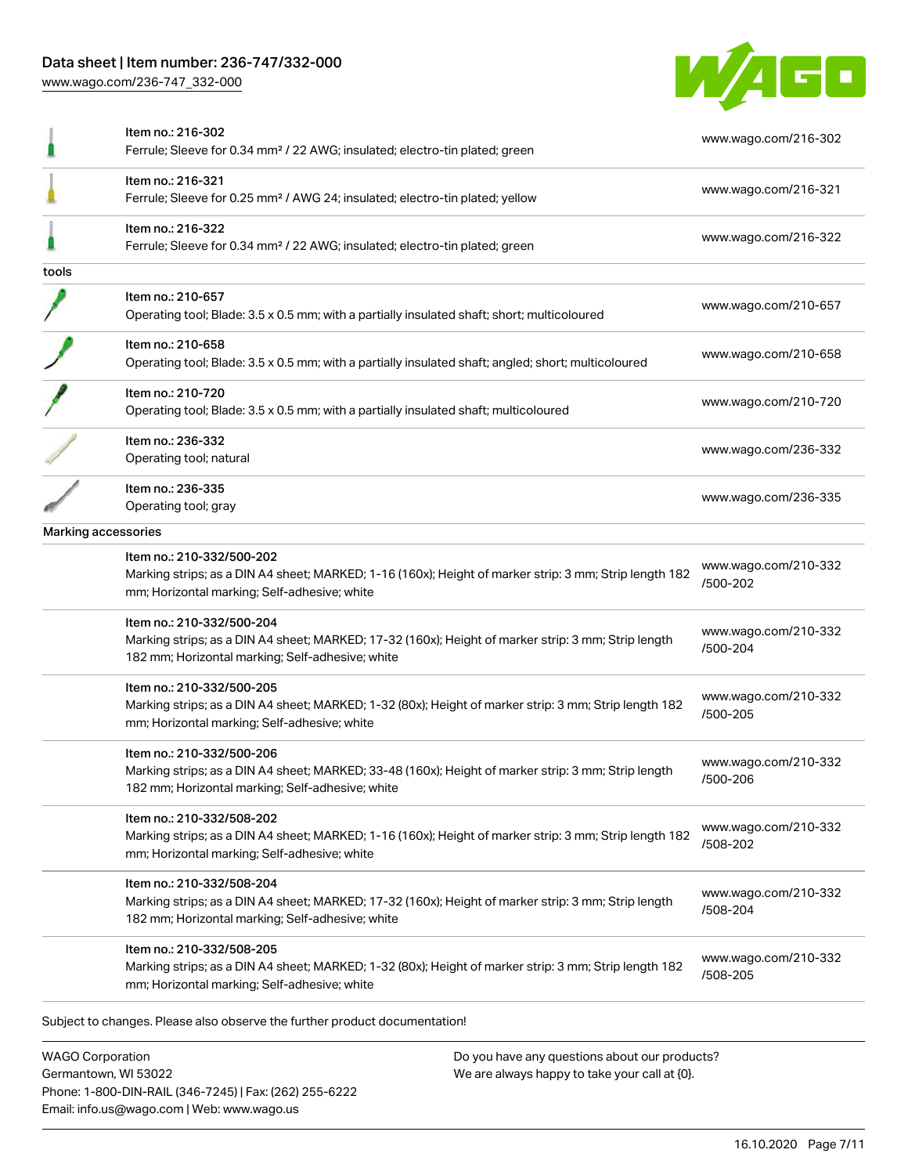### Data sheet | Item number: 236-747/332-000

[www.wago.com/236-747\\_332-000](http://www.wago.com/236-747_332-000)



|       | Item no.: 216-302<br>Ferrule; Sleeve for 0.34 mm <sup>2</sup> / 22 AWG; insulated; electro-tin plated; green                                                                         | www.wago.com/216-302                                     |
|-------|--------------------------------------------------------------------------------------------------------------------------------------------------------------------------------------|----------------------------------------------------------|
|       | Item no.: 216-321<br>Ferrule; Sleeve for 0.25 mm <sup>2</sup> / AWG 24; insulated; electro-tin plated; yellow                                                                        | www.wago.com/216-321                                     |
|       | Item no.: 216-322<br>Ferrule; Sleeve for 0.34 mm <sup>2</sup> / 22 AWG; insulated; electro-tin plated; green                                                                         | www.wago.com/216-322                                     |
| tools |                                                                                                                                                                                      |                                                          |
|       | Item no.: 210-657<br>Operating tool; Blade: 3.5 x 0.5 mm; with a partially insulated shaft; short; multicoloured                                                                     | www.wago.com/210-657                                     |
|       | Item no.: 210-658<br>Operating tool; Blade: 3.5 x 0.5 mm; with a partially insulated shaft; angled; short; multicoloured                                                             | www.wago.com/210-658                                     |
|       | Item no.: 210-720<br>Operating tool; Blade: 3.5 x 0.5 mm; with a partially insulated shaft; multicoloured                                                                            | www.wago.com/210-720                                     |
|       | Item no.: 236-332<br>Operating tool; natural                                                                                                                                         | www.wago.com/236-332                                     |
|       | Item no.: 236-335<br>Operating tool; gray                                                                                                                                            | www.wago.com/236-335                                     |
|       | Marking accessories                                                                                                                                                                  |                                                          |
|       | Item no.: 210-332/500-202<br>Marking strips; as a DIN A4 sheet; MARKED; 1-16 (160x); Height of marker strip: 3 mm; Strip length 182<br>mm; Horizontal marking; Self-adhesive; white  | www.wago.com/210-332<br>/500-202                         |
|       | Item no.: 210-332/500-204<br>Marking strips; as a DIN A4 sheet; MARKED; 17-32 (160x); Height of marker strip: 3 mm; Strip length<br>182 mm; Horizontal marking; Self-adhesive; white | www.wago.com/210-332<br>/500-204                         |
|       | Item no.: 210-332/500-205<br>Marking strips; as a DIN A4 sheet; MARKED; 1-32 (80x); Height of marker strip: 3 mm; Strip length 182<br>mm; Horizontal marking; Self-adhesive; white   | www.wago.com/210-332<br>/500-205                         |
|       | Item no.: 210-332/500-206<br>Marking strips; as a DIN A4 sheet; MARKED; 33-48 (160x); Height of marker strip: 3 mm; Strip length                                                     | www.wago.com/210-332<br>/500-206                         |
|       | 182 mm; Horizontal marking; Self-adhesive; white                                                                                                                                     |                                                          |
|       | Item no.: 210-332/508-202<br>Marking strips; as a DIN A4 sheet; MARKED; 1-16 (160x); Height of marker strip: 3 mm; Strip length 182<br>mm; Horizontal marking; Self-adhesive; white  | /508-202                                                 |
|       | Item no.: 210-332/508-204<br>Marking strips; as a DIN A4 sheet; MARKED; 17-32 (160x); Height of marker strip: 3 mm; Strip length<br>182 mm; Horizontal marking; Self-adhesive; white | www.wago.com/210-332<br>www.wago.com/210-332<br>/508-204 |

WAGO Corporation Germantown, WI 53022 Phone: 1-800-DIN-RAIL (346-7245) | Fax: (262) 255-6222 Email: info.us@wago.com | Web: www.wago.us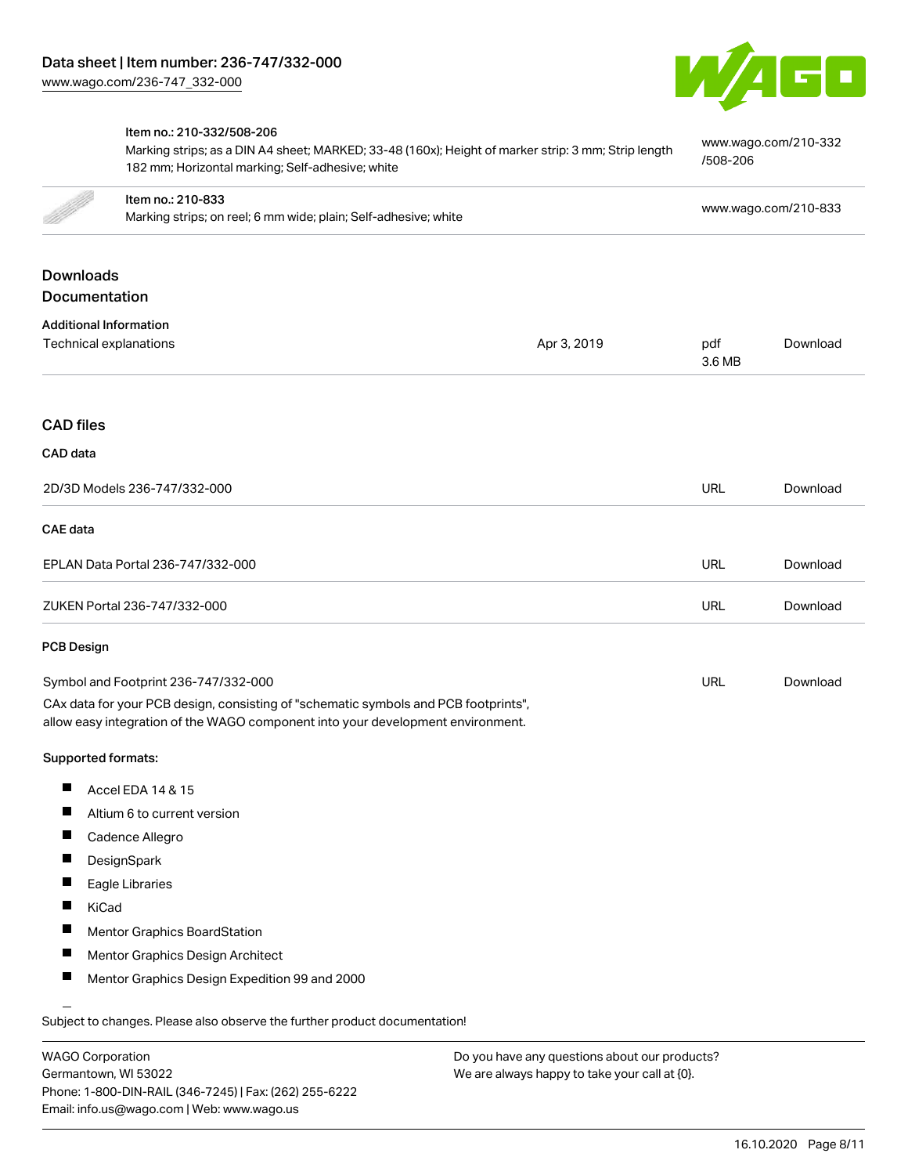

### Item no.: 210-332/508-206 [www.wago.com/210-332](http://www.wago.com/210-332/508-206) Marking strips; as a DIN A4 sheet; MARKED; 33-48 (160x); Height of marker strip: 3 mm; Strip length [/508-206](http://www.wago.com/210-332/508-206) 182 mm; Horizontal marking; Self-adhesive; white Item no.: 210-833 Marking strips; on reel; 6 mm wide; plain; Self-adhesive; white [www.wago.com/210-833](http://www.wago.com/210-833)<br>Marking strips; on reel; 6 mm wide; plain; Self-adhesive; white Downloads Documentation Additional Information Technical explanations and political explanations and political explanations and political explanations and political explanations and political explanations and political explanations and political explanations and politi [Download](https://www.wago.com/us/d/1435602) 3.6 MB CAD files CAD data 2D/3D Models 236-747/332-000 URL [Download](https://www.wago.com/us/d/3D_URLS_236-747_332-000) CAE data EPLAN Data Portal 236-747/332-000 URL [Download](https://www.wago.com/us/d/EPLAN_URLS_236-747%252F332-000) ZUKEN Portal 236-747/332-000 URL [Download](https://www.wago.com/us/d/Zuken_URLS_236-747_332-000) PCB Design Symbol and Footprint 236-747/332-000 URL [Download](https://www.wago.com/us/d/UltraLibrarian_URLS_236-747_332-000)CAx data for your PCB design, consisting of "schematic symbols and PCB footprints", allow easy integration of the WAGO component into your development environment. Supported formats:  $\blacksquare$ Accel EDA 14 & 15  $\blacksquare$ Altium 6 to current version П Cadence Allegro  $\blacksquare$ **DesignSpark**  $\blacksquare$ Eagle Libraries  $\blacksquare$ KiCad  $\blacksquare$ Mentor Graphics BoardStation  $\blacksquare$ Mentor Graphics Design Architect  $\blacksquare$ Mentor Graphics Design Expedition 99 and 2000

Subject to changes. Please also observe the further product documentation!

WAGO Corporation Germantown, WI 53022 Phone: 1-800-DIN-RAIL (346-7245) | Fax: (262) 255-6222 Email: info.us@wago.com | Web: www.wago.us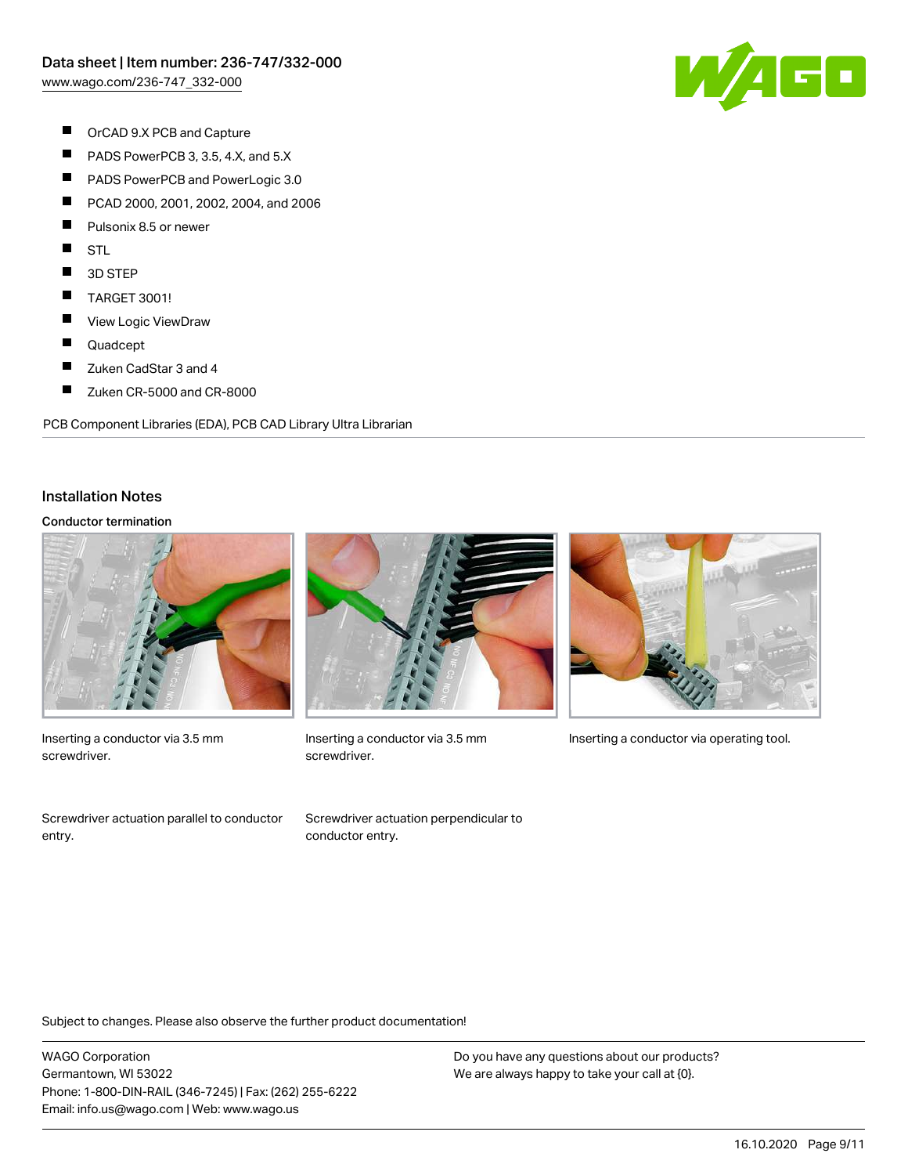WAGO

- $\blacksquare$ OrCAD 9.X PCB and Capture
- $\blacksquare$ PADS PowerPCB 3, 3.5, 4.X, and 5.X
- $\blacksquare$ PADS PowerPCB and PowerLogic 3.0
- $\blacksquare$ PCAD 2000, 2001, 2002, 2004, and 2006
- П Pulsonix 8.5 or newer
- $\blacksquare$ **STL**
- $\blacksquare$ 3D STEP
- $\blacksquare$ TARGET 3001!
- $\blacksquare$ View Logic ViewDraw
- Е Quadcept
- $\blacksquare$ Zuken CadStar 3 and 4
- $\blacksquare$ Zuken CR-5000 and CR-8000

PCB Component Libraries (EDA), PCB CAD Library Ultra Librarian

#### Installation Notes

#### Conductor termination



Inserting a conductor via 3.5 mm screwdriver.

Screwdriver actuation parallel to conductor entry.



screwdriver.





Inserting a conductor via 3.5 mm Inserting a conductor via operating tool.

Subject to changes. Please also observe the further product documentation!

WAGO Corporation Germantown, WI 53022 Phone: 1-800-DIN-RAIL (346-7245) | Fax: (262) 255-6222 Email: info.us@wago.com | Web: www.wago.us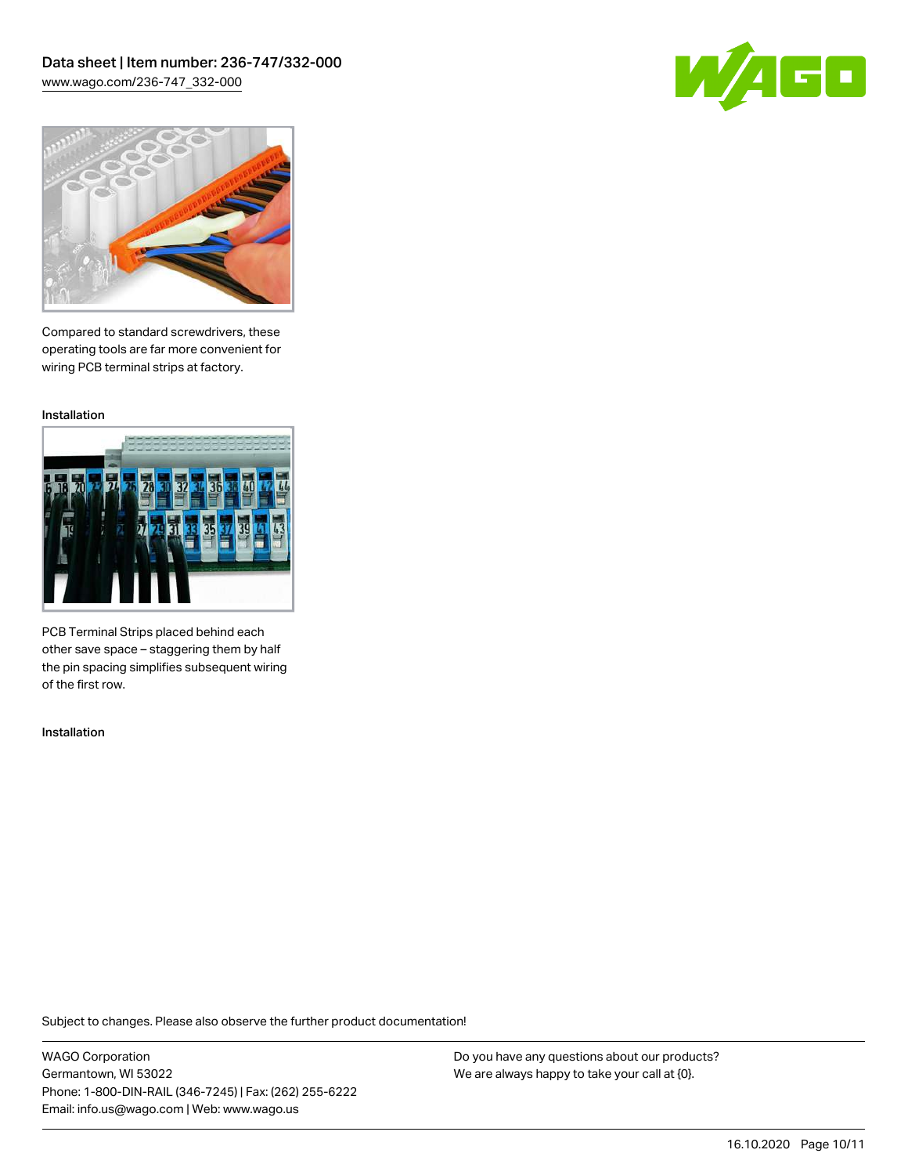Data sheet | Item number: 236-747/332-000 [www.wago.com/236-747\\_332-000](http://www.wago.com/236-747_332-000)





Compared to standard screwdrivers, these operating tools are far more convenient for wiring PCB terminal strips at factory.

Installation



PCB Terminal Strips placed behind each other save space – staggering them by half the pin spacing simplifies subsequent wiring of the first row.

Installation

Subject to changes. Please also observe the further product documentation!

WAGO Corporation Germantown, WI 53022 Phone: 1-800-DIN-RAIL (346-7245) | Fax: (262) 255-6222 Email: info.us@wago.com | Web: www.wago.us